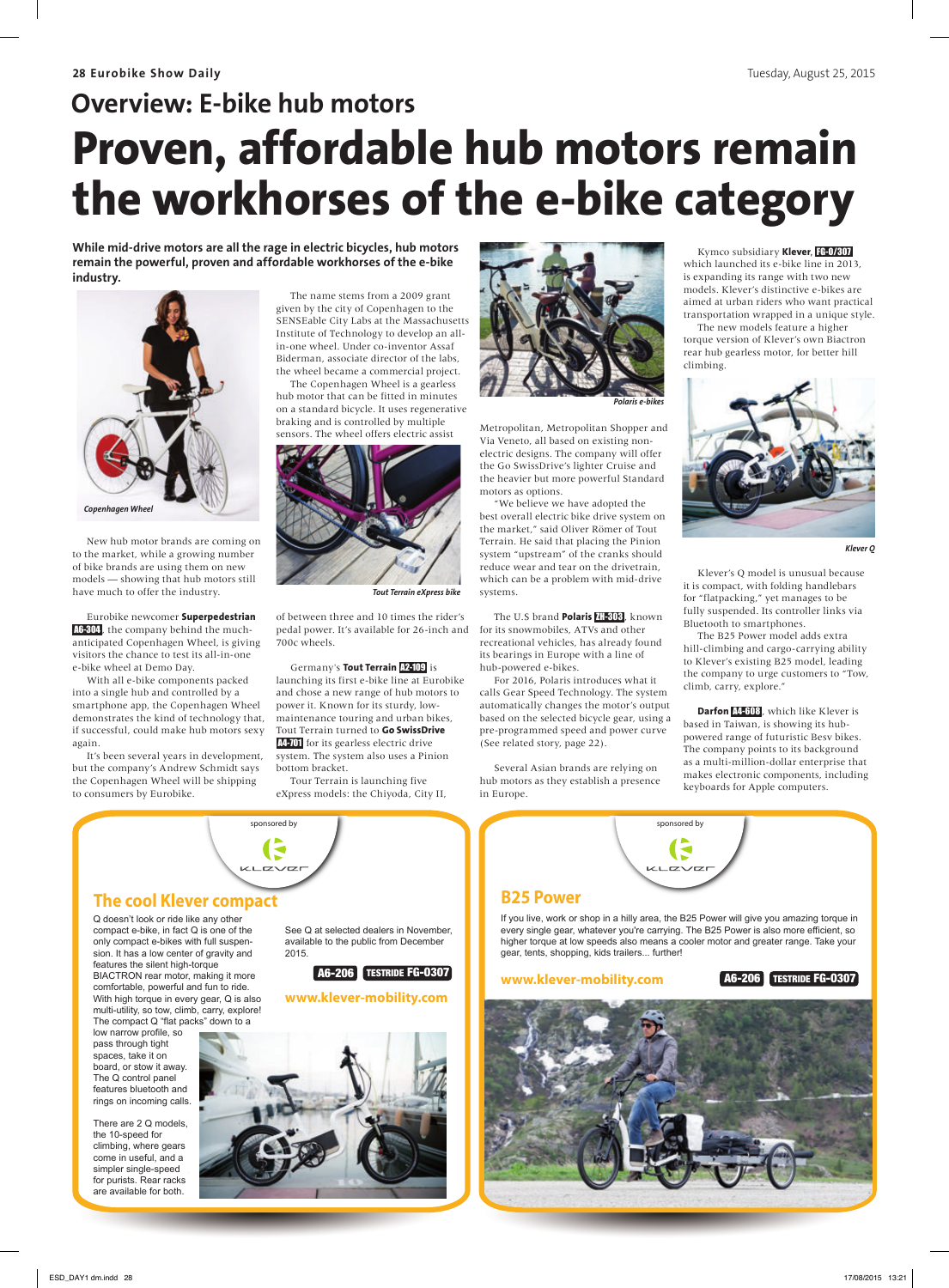## **Overview: E-bike hub motors Proven, affordable hub motors remain the workhorses of the e-bike category**

While mid-drive motors are all the rage in electric bicycles, hub motors remain the powerful, proven and affordable workhorses of the e-bike **industry.** 



New hub motor brands are coming on to the market, while a growing number of bike brands are using them on new models — showing that hub motors still have much to offer the industry.

Eurobike newcomer **Superpedestrian**  A6-304, the company behind the muchanticipated Copenhagen Wheel, is giving visitors the chance to test its all-in-one e-bike wheel at Demo Day.

With all e-bike components packed into a single hub and controlled by a smartphone app, the Copenhagen Wheel demonstrates the kind of technology that, if successful, could make hub motors sexy again.

It's been several years in development, but the company's Andrew Schmidt says the Copenhagen Wheel will be shipping to consumers by Eurobike.

The name stems from a 2009 grant given by the city of Copenhagen to the SENSEable City Labs at the Massachusetts Institute of Technology to develop an allin-one wheel. Under co-inventor Assaf Biderman, associate director of the labs, the wheel became a commercial project.

The Copenhagen Wheel is a gearless hub motor that can be fitted in minutes on a standard bicycle. It uses regenerative braking and is controlled by multiple sensors. The wheel offers electric assist



*Tout Terrain eXpress bike*

of between three and 10 times the rider's pedal power. It's available for 26-inch and 700c wheels.

Germany's **Tout Terrain** A2-109 is launching its first e-bike line at Eurobike and chose a new range of hub motors to power it. Known for its sturdy, lowmaintenance touring and urban bikes, Tout Terrain turned to **Go SwissDrive**  A4-701 for its gearless electric drive system. The system also uses a Pinion

bottom bracket. Tour Terrain is launching five eXpress models: the Chiyoda, City II,



*Polaris e-bikes*

Metropolitan, Metropolitan Shopper and Via Veneto, all based on existing nonelectric designs. The company will offer the Go SwissDrive's lighter Cruise and the heavier but more powerful Standard motors as options.

"We believe we have adopted the best overall electric bike drive system on the market," said Oliver Römer of Tout Terrain. He said that placing the Pinion system "upstream" of the cranks should reduce wear and tear on the drivetrain, which can be a problem with mid-drive systems.

The U.S brand **Polaris** ZH-303 , known for its snowmobiles, ATVs and other recreational vehicles, has already found its bearings in Europe with a line of hub-powered e-bikes.

For 2016, Polaris introduces what it calls Gear Speed Technology. The system automatically changes the motor's output based on the selected bicycle gear, using a pre-programmed speed and power curve (See related story, page 22).

Several Asian brands are relying on hub motors as they establish a presence in Europe.

Kymco subsidiary **Klever**, FG-O/307 which launched its e-bike line in 2013, is expanding its range with two new models. Klever's distinctive e-bikes are aimed at urban riders who want practical transportation wrapped in a unique style. The new models feature a higher

torque version of Klever's own Biactron rear hub gearless motor, for better hill climbing.



*Klever Q*

Klever's Q model is unusual because it is compact, with folding handlebars for "flatpacking," yet manages to be fully suspended. Its controller links via Bluetooth to smartphones.

The B25 Power model adds extra hill-climbing and cargo-carrying ability to Klever's existing B25 model, leading the company to urge customers to "Tow, climb, carry, explore."

**Darfon 44-608**, which like Klever is based in Taiwan, is showing its hubpowered range of futuristic Besv bikes. The company points to its background as a multi-million-dollar enterprise that makes electronic components, including keyboards for Apple computers.